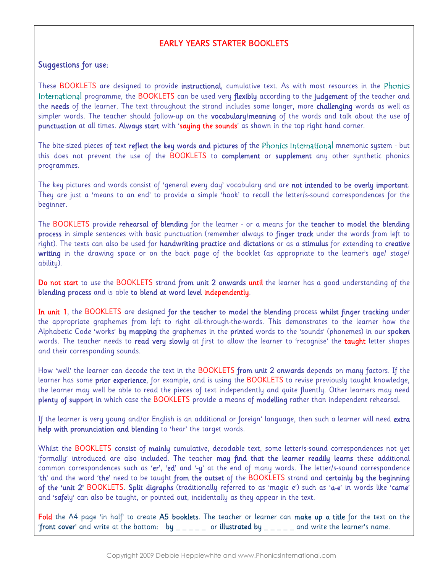## EARLY YEARS STARTER BOOKLETS

## Suggestions for use:

These BOOKLETS are designed to provide **instructional**, cumulative text. As with most resources in the Phonics International programme, the BOOKLETS can be used very flexibly according to the judgement of the teacher and the needs of the learner. The text throughout the strand includes some longer, more challenging words as well as simpler words. The teacher should follow-up on the **vocabulary/meaning** of the words and talk about the use of punctuation at all times. Always start with 'saying the sounds' as shown in the top right hand corner.

The bite-sized pieces of text reflect the key words and pictures of the Phonics International mnemonic system - but this does not prevent the use of the BOOKLETS to complement or supplement any other synthetic phonics programmes.

The key pictures and words consist of 'general every day' vocabulary and are **not intended to be overly important**. They are just a 'means to an end' to provide a simple 'hook' to recall the letter/s-sound correspondences for the beginner.

The BOOKLETS provide **rehearsal of blending** for the learner - or a means for the **teacher to model the blending** process in simple sentences with basic punctuation (remember always to finger track under the words from left to right). The texts can also be used for handwriting practice and dictations or as a stimulus for extending to creative writing in the drawing space or on the back page of the booklet (as appropriate to the learner's age/ stage/ ability).

Do not start to use the BOOKLETS strand from unit 2 onwards until the learner has a good understanding of the blending process and is able to blend at word level independently.

In unit 1, the BOOKLETS are designed for the teacher to model the blending process whilst finger tracking under the appropriate graphemes from left to right all-through-the-words. This demonstrates to the learner how the Alphabetic Code 'works' by mapping the graphemes in the printed words to the 'sounds' (phonemes) in our spoken words. The teacher needs to **read very slowly** at first to allow the learner to 'recognise' the taught letter shapes and their corresponding sounds.

How 'well' the learner can decode the text in the BOOKLETS from unit 2 onwards depends on many factors. If the learner has some **prior experience**, for example, and is using the BOOKLETS to revise previously taught knowledge, the learner may well be able to read the pieces of text independently and quite fluently. Other learners may need plenty of support in which case the BOOKLETS provide a means of modelling rather than independent rehearsal.

If the learner is very young and/or English is an additional or foreign' language, then such a learner will need extra help with pronunciation and blending to 'hear' the target words.

Whilst the BOOKLETS consist of **mainly** cumulative, decodable text, some letter/s-sound correspondences not yet 'formally' introduced are also included. The teacher may find that the learner readily learns these additional common correspondences such as 'er', 'ed' and '-y' at the end of many words. The letter/s-sound correspondence 'th' and the word 'the' need to be taught from the outset of the BOOKLETS strand and certainly by the beginning of the 'unit 2' BOOKLETS. Split digraphs (traditionally referred to as 'magic e') such as 'a-e' in words like 'came' and 'safely' can also be taught, or pointed out, incidentally as they appear in the text.

Fold the A4 page 'in half' to create A5 booklets. The teacher or learner can make up a title for the text on the 'front cover' and write at the bottom: by  $\frac{1}{2} - \frac{1}{2} - \frac{1}{2}$  or illustrated by  $\frac{1}{2} - \frac{1}{2} - \frac{1}{2}$  and write the learner's name.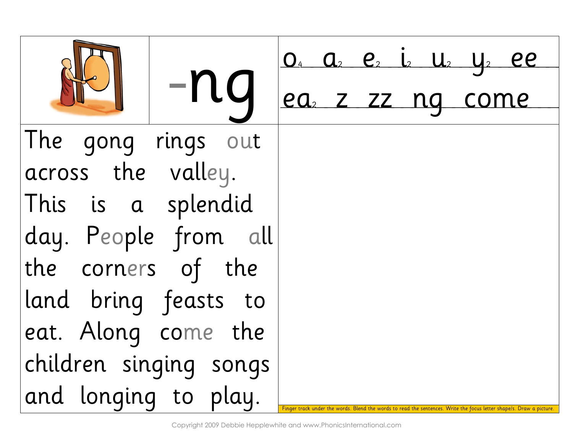|                        | <u>0<sup>4</sup> a<sub>2</sub> e<sub>2</sub> i<sub>2</sub> U<sub>2</sub> U<sub>2</sub> ee</u>                        |
|------------------------|----------------------------------------------------------------------------------------------------------------------|
| $\sqrt{-n}$ a          | ea, z zz ng come                                                                                                     |
| The gong rings out     |                                                                                                                      |
| across the valley.     |                                                                                                                      |
| This is a splendid     |                                                                                                                      |
| day. People from all   |                                                                                                                      |
| the corners of the     |                                                                                                                      |
| land bring feasts to   |                                                                                                                      |
| eat. Along come the    |                                                                                                                      |
| children singing songs |                                                                                                                      |
| and longing to play.   | Finger track under the words. Blend the words to read the sentences. Write the focus letter shape/s. Draw a picture. |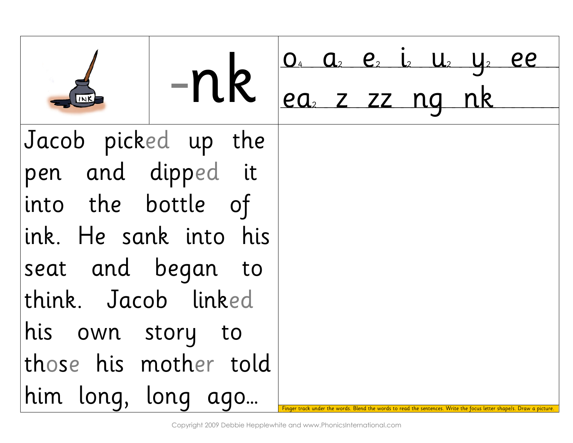|                       | $-nk \int_{ea_2}^{0_4} \frac{a_2 e_2 i_2 u_2 u_2 e_2}{2z nq n k}$ |  |                                                                             |  |
|-----------------------|-------------------------------------------------------------------|--|-----------------------------------------------------------------------------|--|
| Jacob picked up the   |                                                                   |  |                                                                             |  |
| pen and dipped it     |                                                                   |  |                                                                             |  |
| into the bottle of    |                                                                   |  |                                                                             |  |
| ink. He sank into his |                                                                   |  |                                                                             |  |
| seat and began to     |                                                                   |  |                                                                             |  |
| think. Jacob linked   |                                                                   |  |                                                                             |  |
| his own story to      |                                                                   |  |                                                                             |  |
| those his mother told |                                                                   |  |                                                                             |  |
| him long, long ago    |                                                                   |  | words to read the sentences. Write the focus letter shape/s. Draw a picture |  |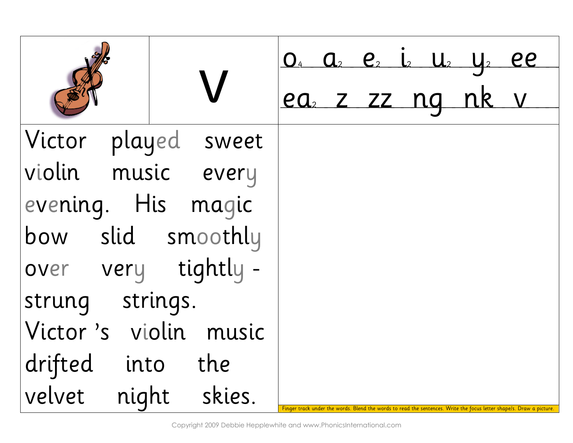|                       | $0_4$ $0_2$ $0_2$ $0_2$ $0_3$ $0_1$ $0_2$ $0_2$ $0_1$                                                                |
|-----------------------|----------------------------------------------------------------------------------------------------------------------|
|                       | ea z zz ng nk v                                                                                                      |
| Victor played sweet   |                                                                                                                      |
| violin music every    |                                                                                                                      |
| evening. His magic    |                                                                                                                      |
| bow slid smoothly     |                                                                                                                      |
| over very tightly-    |                                                                                                                      |
| strung strings.       |                                                                                                                      |
| Victor's violin music |                                                                                                                      |
| drifted into the      |                                                                                                                      |
| velvet night skies.   | Finger track under the words. Blend the words to read the sentences. Write the focus letter shape/s. Draw a picture. |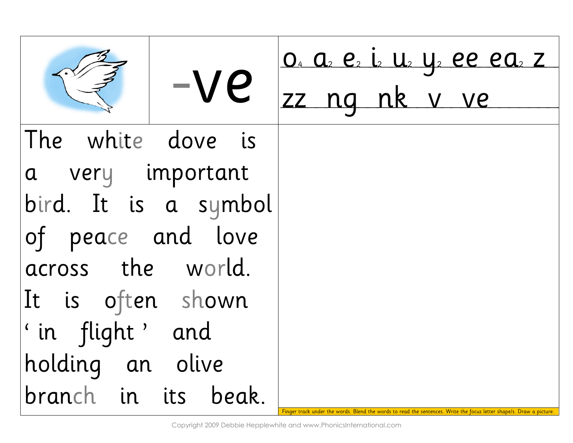| $-ve$                    | <u>0. a e i u y ee ea z</u><br>zz ng nk v ve                                                                         |
|--------------------------|----------------------------------------------------------------------------------------------------------------------|
| The white dove is        |                                                                                                                      |
| a very important         |                                                                                                                      |
| bird. It is a symbol     |                                                                                                                      |
| of peace and love        |                                                                                                                      |
| across the world.        |                                                                                                                      |
| It is often shown        |                                                                                                                      |
| $\vert$ ' in flight' and |                                                                                                                      |
| holding an olive         |                                                                                                                      |
| branch in its beak.      | Finger track under the words. Blend the words to read the sentences. Write the focus letter shape/s. Draw a picture. |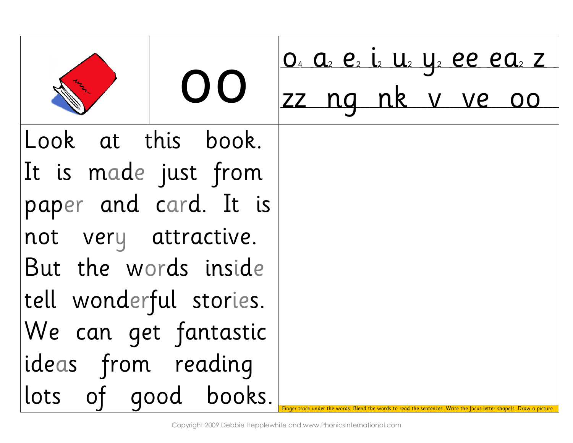|                         | OO |  | <u>0. a e i u y ee ea z</u><br>zz ng nk v ve oo                                       |  |  |
|-------------------------|----|--|---------------------------------------------------------------------------------------|--|--|
| Look at this book.      |    |  |                                                                                       |  |  |
| It is made just from    |    |  |                                                                                       |  |  |
| paper and card. It is   |    |  |                                                                                       |  |  |
| not very attractive.    |    |  |                                                                                       |  |  |
| But the words inside    |    |  |                                                                                       |  |  |
| tell wonderful stories. |    |  |                                                                                       |  |  |
| We can get fantastic    |    |  |                                                                                       |  |  |
| ideas from reading      |    |  |                                                                                       |  |  |
| lots of good books.     |    |  | Blend the words to read the sentences. Write the focus letter shape/s. Draw a picture |  |  |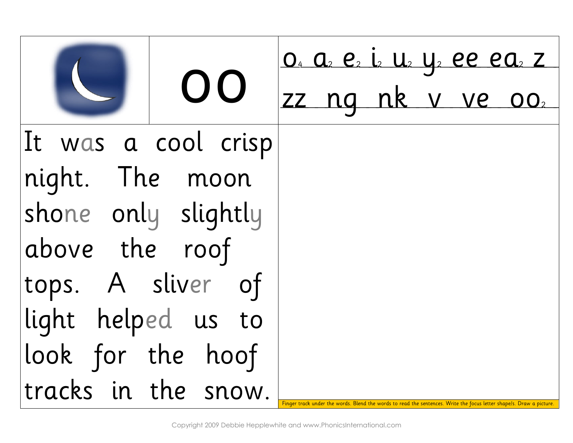|                     | OO |  | <u>0. a e i u y ee ea z</u><br>zz ng nk v ve 002 |  |                                                                                              |
|---------------------|----|--|--------------------------------------------------|--|----------------------------------------------------------------------------------------------|
| It was a cool crisp |    |  |                                                  |  |                                                                                              |
| night. The moon     |    |  |                                                  |  |                                                                                              |
| shone only slightly |    |  |                                                  |  |                                                                                              |
| above the roof      |    |  |                                                  |  |                                                                                              |
| tops. A sliver of   |    |  |                                                  |  |                                                                                              |
| light helped us to  |    |  |                                                  |  |                                                                                              |
| look for the hoof   |    |  |                                                  |  |                                                                                              |
| tracks in the snow. |    |  |                                                  |  | ords. Blend the words to read the sentences. Write the focus letter shape/s. Draw a picture. |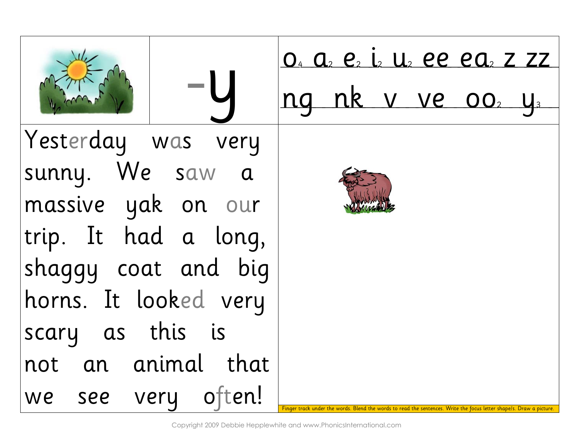-y o4 a2 e2 i2 u2 ee ea2 z zz ng nk v ve oo2 y3 Yesterday was very sunny. We saw a massive yak on our trip. It had a long, shaggy coat and big horns. It looked very scary as this is not an animal that we see very often! Finger track under the words. Blend the words to read the sentences. Write the focus letter shape/s. Draw a picture.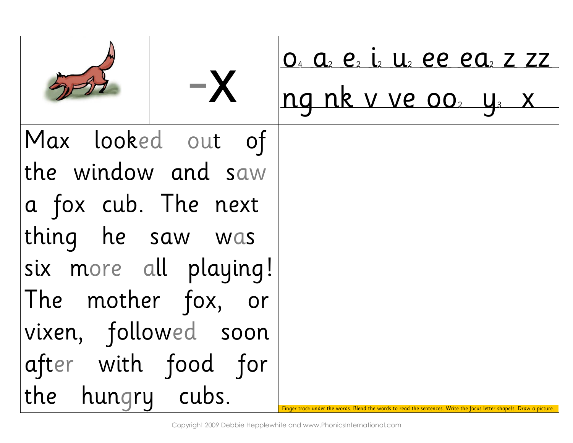|                       | $-\mathsf{X}$ | <u>0. a e i u ee ea z zz</u><br>ng nk v ve 002 y x                                            |
|-----------------------|---------------|-----------------------------------------------------------------------------------------------|
| Max looked out of     |               |                                                                                               |
| the window and saw    |               |                                                                                               |
| a fox cub. The next   |               |                                                                                               |
| thing he saw was      |               |                                                                                               |
| six more all playing! |               |                                                                                               |
| The mother fox, or    |               |                                                                                               |
| vixen, followed soon  |               |                                                                                               |
| after with food for   |               |                                                                                               |
| the hungry cubs.      |               | words. Blend the words to read the sentences. Write the focus letter shape/s. Draw a picture. |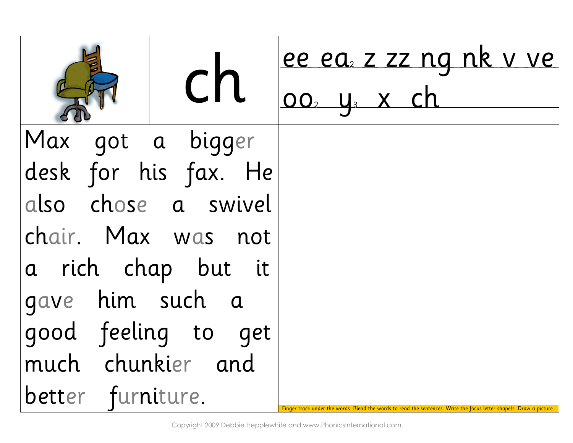|                      | <u>ee ea, z zz ng nk v ve</u>                                                                                        |
|----------------------|----------------------------------------------------------------------------------------------------------------------|
| <b>CN</b>            | 00, y <sub>3</sub> x ch                                                                                              |
| Max got a bigger     |                                                                                                                      |
| desk for his fax. He |                                                                                                                      |
| also chose a swivel  |                                                                                                                      |
| chair. Max was not   |                                                                                                                      |
| a rich chap but it   |                                                                                                                      |
| gave him such a      |                                                                                                                      |
| good feeling to get  |                                                                                                                      |
| much chunkier and    |                                                                                                                      |
| better furniture.    | Finger track under the words. Blend the words to read the sentences. Write the focus letter shape/s. Draw a picture. |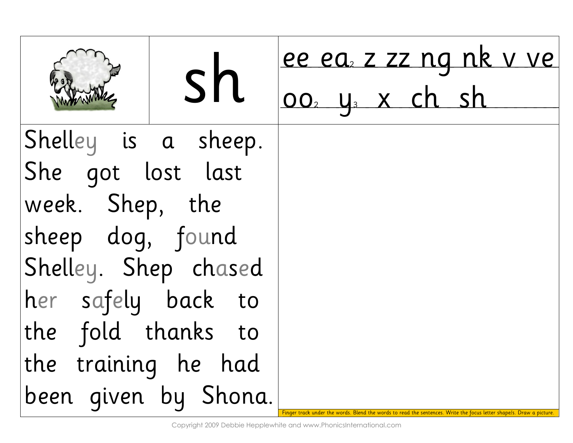| sh                   | ee ea z zz ng nk v ve<br>002 y <sub>3</sub> x ch sh                                                                  |
|----------------------|----------------------------------------------------------------------------------------------------------------------|
| Shelley is a sheep.  |                                                                                                                      |
| She got lost last    |                                                                                                                      |
| week. Shep, the      |                                                                                                                      |
| sheep dog, found     |                                                                                                                      |
| Shelley. Shep chased |                                                                                                                      |
| her safely back to   |                                                                                                                      |
| the fold thanks to   |                                                                                                                      |
| the training he had  |                                                                                                                      |
| been given by Shona. | Finger track under the words. Blend the words to read the sentences. Write the focus letter shape/s. Draw a picture. |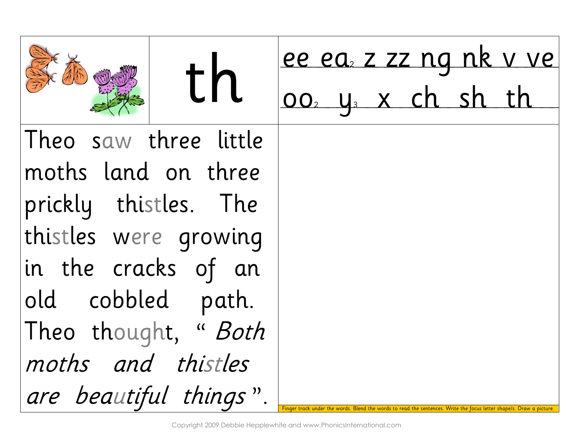| th                     | ee ea, z zz ng nk v ve        |  |  |  |  |
|------------------------|-------------------------------|--|--|--|--|
|                        | 002 y <sub>3</sub> x ch sh th |  |  |  |  |
| Theo saw three little  |                               |  |  |  |  |
| moths land on three    |                               |  |  |  |  |
| prickly thistles. The  |                               |  |  |  |  |
| thistles were growing  |                               |  |  |  |  |
| in the cracks of an    |                               |  |  |  |  |
| old cobbled path.      |                               |  |  |  |  |
| Theo thought, "Both    |                               |  |  |  |  |
| moths and thistles     |                               |  |  |  |  |
| are beautiful things". |                               |  |  |  |  |